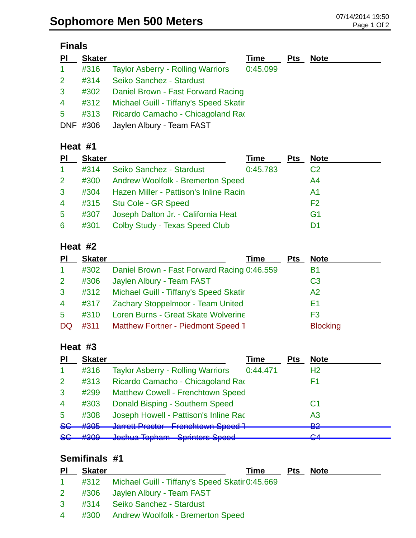#### **Finals**

| $\overline{P}$ | <b>Skater</b> |                                          | Time     | <b>Pts</b> | <b>Note</b> |
|----------------|---------------|------------------------------------------|----------|------------|-------------|
| $\mathbf{1}$   | #316          | <b>Taylor Asberry - Rolling Warriors</b> | 0:45.099 |            |             |
| 2 <sup>1</sup> | #314          | Seiko Sanchez - Stardust                 |          |            |             |
| 3              | #302          | Daniel Brown - Fast Forward Racing       |          |            |             |
| $\overline{4}$ | #312          | Michael Guill - Tiffany's Speed Skatir   |          |            |             |
| 5              | #313          | Ricardo Camacho - Chicagoland Rao        |          |            |             |
|                | DNF #306      | Jaylen Albury - Team FAST                |          |            |             |

#### **Heat #1**

| <b>PI</b>            | <b>Skater</b> |                                               | Time     | Pts | <b>Note</b>    |
|----------------------|---------------|-----------------------------------------------|----------|-----|----------------|
| $\blacktriangleleft$ | #314          | Seiko Sanchez - Stardust                      | 0:45.783 |     | C <sub>2</sub> |
| $\mathbf{2}$         | #300          | <b>Andrew Woolfolk - Bremerton Speed</b>      |          |     | A4             |
| 3                    | #304          | <b>Hazen Miller - Pattison's Inline Racin</b> |          |     | A1             |
| $\overline{4}$       |               | #315 Stu Cole - GR Speed                      |          |     | F <sub>2</sub> |
| $5\overline{)}$      | #307          | Joseph Dalton Jr. - California Heat           |          |     | G1             |
| 6                    | #301          | Colby Study - Texas Speed Club                |          |     |                |

#### **Heat #2**

| <b>PI</b>      | <b>Skater</b> | Time                                        | Pts | <b>Note</b>     |
|----------------|---------------|---------------------------------------------|-----|-----------------|
| 1              | #302          | Daniel Brown - Fast Forward Racing 0:46.559 |     | Β1              |
| $\overline{2}$ | #306          | Jaylen Albury - Team FAST                   |     | C <sub>3</sub>  |
| $\mathbf{3}$   | #312          | Michael Guill - Tiffany's Speed Skatir      |     | A2              |
| $\overline{4}$ | #317          | Zachary Stoppelmoor - Team United           |     | F1              |
| 5              | #310          | Loren Burns - Great Skate Wolverine         |     | F3              |
| DQ             | #311          | Matthew Fortner - Piedmont Speed 1          |     | <b>Blocking</b> |

# **Heat #3**

| PI             | <b>Skater</b> |                                                                      | Time     | <b>Pts</b> | <b>Note</b>    |
|----------------|---------------|----------------------------------------------------------------------|----------|------------|----------------|
|                | #316          | <b>Taylor Asberry - Rolling Warriors</b>                             | 0:44.471 |            | H <sub>2</sub> |
| 2              | #313          | Ricardo Camacho - Chicagoland Rao                                    |          |            | F1             |
| 3              | #299          | <b>Matthew Cowell - Frenchtown Speed</b>                             |          |            |                |
| $\overline{4}$ | #303          | Donald Bisping - Southern Speed                                      |          |            | C1             |
| 5              | #308          | Joseph Howell - Pattison's Inline Rad                                |          |            | A3             |
| 86             | #305          | Jarrott Dractor - Franchtown Spood J<br><u>van vit Thoutun</u>       |          |            | ലാ<br>e z      |
| <b>SG</b>      | H200<br>πਚਚਰ  | Jochus Topham - Carintore Chood<br>שטטושט דשטוווועט דוואוועוס טאווטט |          |            | ◠ィ<br>ॼ        |

## **Semifinals #1**

| <u>PI</u>       | <b>Skater</b> | Time                                                 | <b>Pts</b> | <b>Note</b> |
|-----------------|---------------|------------------------------------------------------|------------|-------------|
| $1 \quad$       |               | #312 Michael Guill - Tiffany's Speed Skatir 0:45.669 |            |             |
| $2 \rightarrow$ |               | #306 Jaylen Albury - Team FAST                       |            |             |
|                 |               | 3 #314 Seiko Sanchez - Stardust                      |            |             |
|                 |               | 4 #300 Andrew Woolfolk - Bremerton Speed             |            |             |